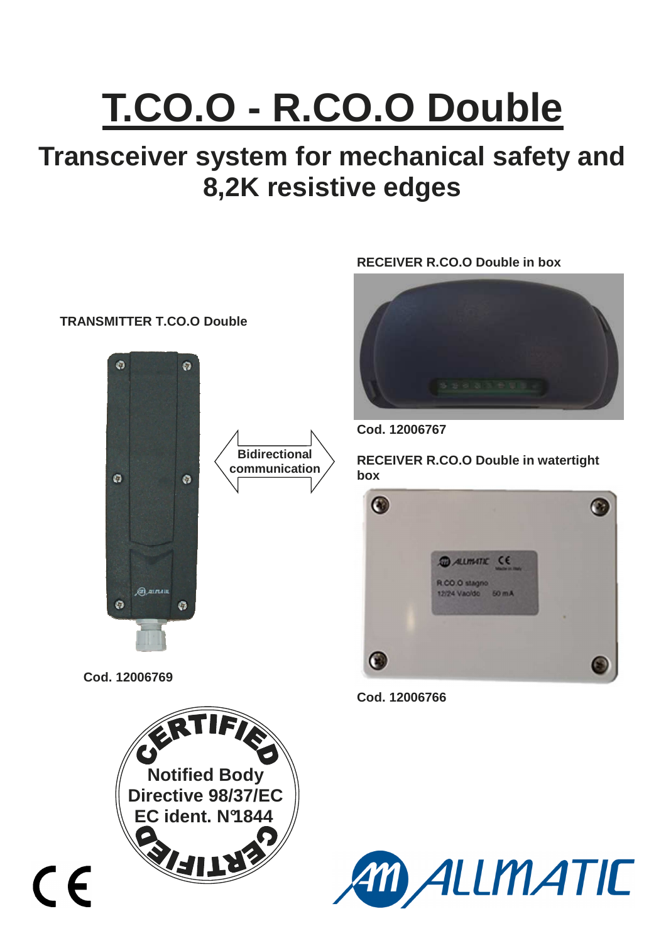# **T.CO.O - R.CO.O Double**

# **Transceiver system for mechanical safety and 8,2K resistive edges**

### **TRANSMITTER T.CO.O Double**



**Cod. 12006769** 





**Cod. 12006767** 

**communication** <br>**RECEIVER R.CO.O Double in watertight box**



**Cod. 12006766** 

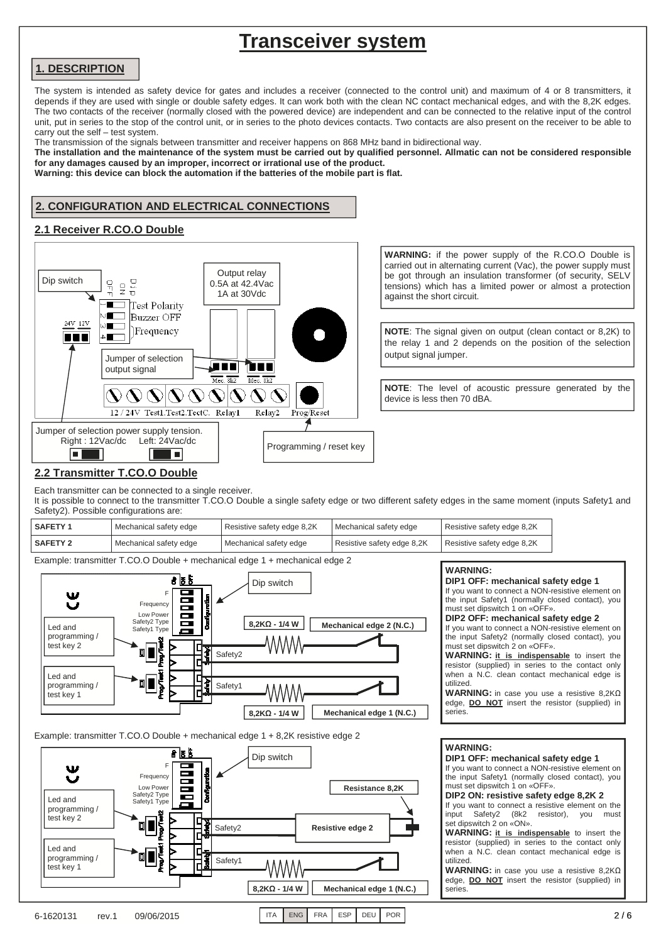## **Transceiver system**

#### **1. DESCRIPTION**

The system is intended as safety device for gates and includes a receiver (connected to the control unit) and maximum of 4 or 8 transmitters, it depends if they are used with single or double safety edges. It can work both with the clean NC contact mechanical edges, and with the 8,2K edges. The two contacts of the receiver (normally closed with the powered device) are independent and can be connected to the relative input of the control unit, put in series to the stop of the control unit, or in series to the photo devices contacts. Two contacts are also present on the receiver to be able to carry out the self – test system.

The transmission of the signals between transmitter and receiver happens on 868 MHz band in bidirectional way.

**The installation and the maintenance of the system must be carried out by qualified personnel. Allmatic can not be considered responsible for any damages caused by an improper, incorrect or irrational use of the product.** 

**Warning: this device can block the automation if the batteries of the mobile part is flat.**

#### **2. CONFIGURATION AND ELECTRICAL CONNECTIONS**

#### **2.1 Receiver R.CO.O Double**



**WARNING:** if the power supply of the R.CO.O Double is carried out in alternating current (Vac), the power supply must be got through an insulation transformer (of security, SELV tensions) which has a limited power or almost a protection against the short circuit.

**NOTE**: The signal given on output (clean contact or 8,2K) to the relay 1 and 2 depends on the position of the selection output signal jumper.

**NOTE**: The level of acoustic pressure generated by the device is less then 70 dBA.

#### **2.2 Transmitter T.CO.O Double**

Each transmitter can be connected to a single receiver.

It is possible to connect to the transmitter T.CO.O Double a single safety edge or two different safety edges in the same moment (inputs Safety1 and Safety2). Possible configurations are:

| <b>SAFETY1</b>  | Mechanical safety edge | Resistive safety edge 8,2K | Mechanical safety edge     | Resistive safety edge 8,2K |
|-----------------|------------------------|----------------------------|----------------------------|----------------------------|
| <b>SAFETY 2</b> | Mechanical safety edge | Mechanical safety edge     | Resistive safety edge 8,2K | Resistive safety edge 8,2K |

Example: transmitter T.CO.O Double + mechanical edge 1 + mechanical edge 2



Example: transmitter T.CO.O Double + mechanical edge 1 + 8,2K resistive edge 2



#### **WARNING:**

**DIP1 OFF: mechanical safety edge 1**  If you want to connect a NON-resistive element on the input Safety1 (normally closed contact), you must set dipswitch 1 on «OFF». **DIP2 OFF: mechanical safety edge 2**  If you want to connect a NON-resistive element on the input Safety2 (normally closed contact), you must set dipswitch 2 on «OFF». **WARNING: it is indispensable** to insert the resistor (supplied) in series to the contact only when a N.C. clean contact mechanical edge is utilized. **WARNING:** in case you use a resistive 8,2KΩ edge, **DO NOT** insert the resistor (supplied) in series. **WARNING: DIP1 OFF: mechanical safety edge 1**  If you want to connect a NON-resistive element on the input Safety1 (normally closed contact), you must set dipswitch 1 on «OFF». **DIP2 ON: resistive safety edge 8,2K 2**  If you want to connect a resistive element on the

input Safety2 (8k2 resistor), you must set dipswitch 2 on «ON».

**WARNING: it is indispensable** to insert the resistor (supplied) in series to the contact only when a N.C. clean contact mechanical edge is utilized.

**WARNING:** in case you use a resistive 8,2KΩ edge, **DO NOT** insert the resistor (supplied) in series.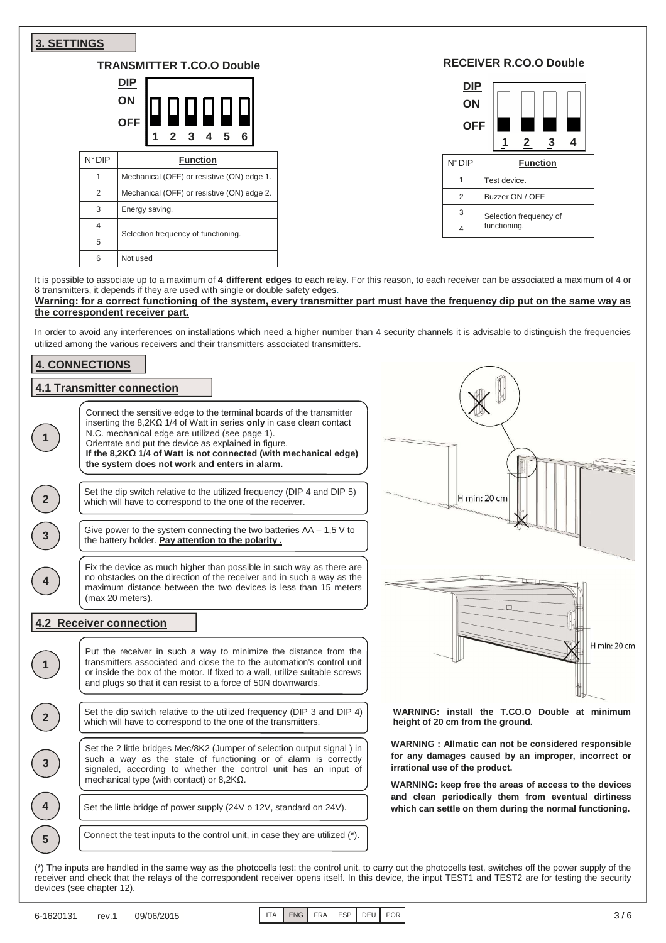| <b>3. SETTINGS</b>         |                 |                                                                                                                                                                                                                                                                                                                                                                                                                                                                                                                                                                                                                                                                                                                                                                                                                                                         |                                                                                                                                                                                                        |                                     |                               |              |
|----------------------------|-----------------|---------------------------------------------------------------------------------------------------------------------------------------------------------------------------------------------------------------------------------------------------------------------------------------------------------------------------------------------------------------------------------------------------------------------------------------------------------------------------------------------------------------------------------------------------------------------------------------------------------------------------------------------------------------------------------------------------------------------------------------------------------------------------------------------------------------------------------------------------------|--------------------------------------------------------------------------------------------------------------------------------------------------------------------------------------------------------|-------------------------------------|-------------------------------|--------------|
|                            |                 | <b>TRANSMITTER T.CO.O Double</b>                                                                                                                                                                                                                                                                                                                                                                                                                                                                                                                                                                                                                                                                                                                                                                                                                        |                                                                                                                                                                                                        |                                     | <b>RECEIVER R.CO.O Double</b> |              |
|                            |                 | DIP<br>ON<br><b>OFF</b><br>3<br>5                                                                                                                                                                                                                                                                                                                                                                                                                                                                                                                                                                                                                                                                                                                                                                                                                       |                                                                                                                                                                                                        | <b>DIP</b><br>ON<br><b>OFF</b><br>1 | 3<br>2                        | 4            |
|                            | $N^{\circ}$ DIP | <b>Function</b>                                                                                                                                                                                                                                                                                                                                                                                                                                                                                                                                                                                                                                                                                                                                                                                                                                         | $N^{\circ}$ DIP                                                                                                                                                                                        |                                     | <b>Function</b>               |              |
|                            | $\mathbf{1}$    | Mechanical (OFF) or resistive (ON) edge 1.                                                                                                                                                                                                                                                                                                                                                                                                                                                                                                                                                                                                                                                                                                                                                                                                              | $\mathbf{1}$                                                                                                                                                                                           | Test device.                        |                               |              |
|                            | 2               | Mechanical (OFF) or resistive (ON) edge 2.                                                                                                                                                                                                                                                                                                                                                                                                                                                                                                                                                                                                                                                                                                                                                                                                              | 2                                                                                                                                                                                                      |                                     | Buzzer ON / OFF               |              |
|                            | 3               | Energy saving.                                                                                                                                                                                                                                                                                                                                                                                                                                                                                                                                                                                                                                                                                                                                                                                                                                          | 3                                                                                                                                                                                                      |                                     |                               |              |
|                            | 4               |                                                                                                                                                                                                                                                                                                                                                                                                                                                                                                                                                                                                                                                                                                                                                                                                                                                         | $\overline{4}$                                                                                                                                                                                         | functioning.                        | Selection frequency of        |              |
|                            | 5               | Selection frequency of functioning.                                                                                                                                                                                                                                                                                                                                                                                                                                                                                                                                                                                                                                                                                                                                                                                                                     |                                                                                                                                                                                                        |                                     |                               |              |
|                            | 6               | Not used                                                                                                                                                                                                                                                                                                                                                                                                                                                                                                                                                                                                                                                                                                                                                                                                                                                |                                                                                                                                                                                                        |                                     |                               |              |
| <b>4. CONNECTIONS</b><br>2 |                 | the correspondent receiver part.<br>In order to avoid any interferences on installations which need a higher number than 4 security channels it is advisable to distinguish the frequencies<br>utilized among the various receivers and their transmitters associated transmitters.<br><b>4.1 Transmitter connection</b><br>Connect the sensitive edge to the terminal boards of the transmitter<br>inserting the $8,2K\Omega$ 1/4 of Watt in series only in case clean contact<br>N.C. mechanical edge are utilized (see page 1).<br>Orientate and put the device as explained in figure.<br>If the 8,2KΩ 1/4 of Watt is not connected (with mechanical edge)<br>the system does not work and enters in alarm.<br>Set the dip switch relative to the utilized frequency (DIP 4 and DIP 5)<br>which will have to correspond to the one of the receiver. |                                                                                                                                                                                                        | H min: 20 cm                        |                               |              |
| 3 <sup>2</sup>             |                 | Give power to the system connecting the two batteries $AA - 1.5$ V to<br>the battery holder. Pay attention to the polarity.<br>Fix the device as much higher than possible in such way as there are<br>no obstacles on the direction of the receiver and in such a way as the<br>maximum distance between the two devices is less than 15 meters<br>(max 20 meters).                                                                                                                                                                                                                                                                                                                                                                                                                                                                                    |                                                                                                                                                                                                        |                                     |                               |              |
|                            |                 | <b>4.2 Receiver connection</b>                                                                                                                                                                                                                                                                                                                                                                                                                                                                                                                                                                                                                                                                                                                                                                                                                          |                                                                                                                                                                                                        |                                     |                               |              |
|                            |                 | Put the receiver in such a way to minimize the distance from the<br>transmitters associated and close the to the automation's control unit<br>or inside the box of the motor. If fixed to a wall, utilize suitable screws<br>and plugs so that it can resist to a force of 50N downwards.                                                                                                                                                                                                                                                                                                                                                                                                                                                                                                                                                               |                                                                                                                                                                                                        |                                     |                               | H min: 20 cm |
| $\overline{2}$             |                 | Set the dip switch relative to the utilized frequency (DIP 3 and DIP 4)<br>which will have to correspond to the one of the transmitters.                                                                                                                                                                                                                                                                                                                                                                                                                                                                                                                                                                                                                                                                                                                | WARNING: install the T.CO.O Double at minimum<br>height of 20 cm from the ground.                                                                                                                      |                                     |                               |              |
| $\mathbf{3}$               |                 | Set the 2 little bridges Mec/8K2 (Jumper of selection output signal) in<br>such a way as the state of functioning or of alarm is correctly<br>signaled, according to whether the control unit has an input of<br>mechanical type (with contact) or $8,2K\Omega$ .                                                                                                                                                                                                                                                                                                                                                                                                                                                                                                                                                                                       | WARNING : Allmatic can not be considered responsible<br>for any damages caused by an improper, incorrect or<br>irrational use of the product.<br>WARNING: keep free the areas of access to the devices |                                     |                               |              |
|                            |                 | Set the little bridge of power supply (24V o 12V, standard on 24V).                                                                                                                                                                                                                                                                                                                                                                                                                                                                                                                                                                                                                                                                                                                                                                                     | and clean periodically them from eventual dirtiness<br>which can settle on them during the normal functioning.                                                                                         |                                     |                               |              |
| 5                          |                 | Connect the test inputs to the control unit, in case they are utilized (*).                                                                                                                                                                                                                                                                                                                                                                                                                                                                                                                                                                                                                                                                                                                                                                             |                                                                                                                                                                                                        |                                     |                               |              |

(\*) The inputs are handled in the same way as the photocells test: the control unit, to carry out the photocells test, switches off the power supply of the receiver and check that the relays of the correspondent receiver opens itself. In this device, the input TEST1 and TEST2 are for testing the security devices (see chapter 12).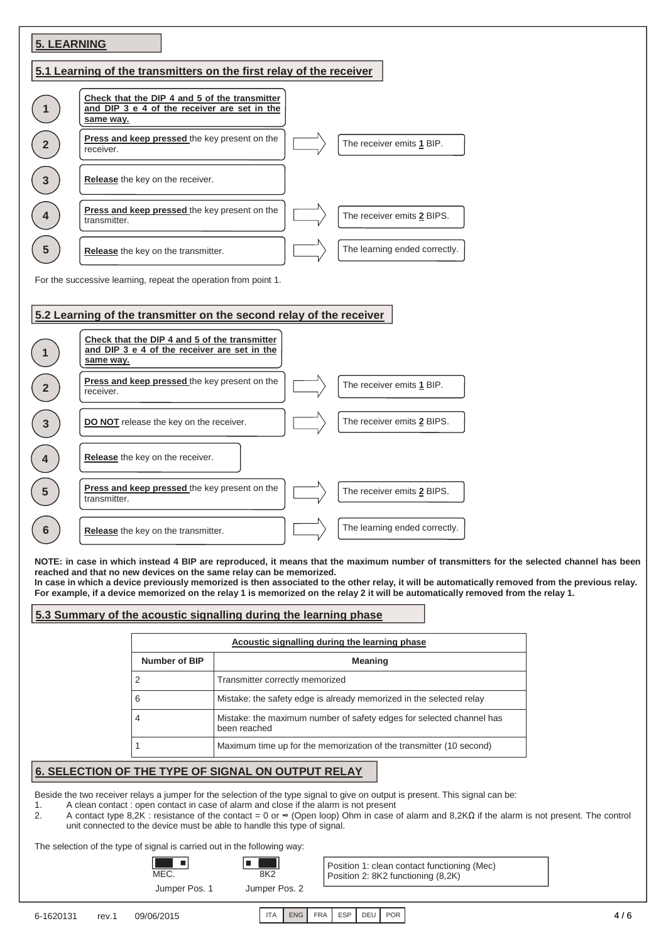| <b>5. LEARNING</b>                                                  |                                                                                                                                        |  |  |  |  |
|---------------------------------------------------------------------|----------------------------------------------------------------------------------------------------------------------------------------|--|--|--|--|
| 5.1 Learning of the transmitters on the first relay of the receiver |                                                                                                                                        |  |  |  |  |
|                                                                     | Check that the DIP 4 and 5 of the transmitter<br>and DIP 3 e 4 of the receiver are set in the<br>same way.                             |  |  |  |  |
|                                                                     | Press and keep pressed the key present on the<br>The receiver emits 1 BIP.<br>receiver.                                                |  |  |  |  |
| 3                                                                   | Release the key on the receiver.                                                                                                       |  |  |  |  |
|                                                                     | Press and keep pressed the key present on the<br>The receiver emits 2 BIPS.<br>transmitter.                                            |  |  |  |  |
| 5                                                                   | The learning ended correctly.<br>Release the key on the transmitter.                                                                   |  |  |  |  |
|                                                                     | For the successive learning, repeat the operation from point 1.<br>5.2 Learning of the transmitter on the second relay of the receiver |  |  |  |  |
|                                                                     | Check that the DIP 4 and 5 of the transmitter<br>and DIP 3 e 4 of the receiver are set in the<br>same way.                             |  |  |  |  |
|                                                                     | Press and keep pressed the key present on the<br>The receiver emits 1 BIP.<br>receiver.                                                |  |  |  |  |
|                                                                     | The receiver emits 2 BIPS.<br>DO NOT release the key on the receiver.                                                                  |  |  |  |  |
|                                                                     | Release the key on the receiver.                                                                                                       |  |  |  |  |
|                                                                     | Press and keep pressed the key present on the<br>The receiver emits 2 BIPS.<br>transmitter.                                            |  |  |  |  |
|                                                                     | The learning ended correctly.<br>Release the key on the transmitter.                                                                   |  |  |  |  |

**NOTE: in case in which instead 4 BIP are reproduced, it means that the maximum number of transmitters for the selected channel has been reached and that no new devices on the same relay can be memorized.** 

**In case in which a device previously memorized is then associated to the other relay, it will be automatically removed from the previous relay. For example, if a device memorized on the relay 1 is memorized on the relay 2 it will be automatically removed from the relay 1.** 

#### **5.3 Summary of the acoustic signalling during the learning phase**

| Acoustic signalling during the learning phase |                                                                                      |  |  |
|-----------------------------------------------|--------------------------------------------------------------------------------------|--|--|
| Number of BIP                                 | <b>Meaning</b>                                                                       |  |  |
|                                               | Transmitter correctly memorized                                                      |  |  |
|                                               | Mistake: the safety edge is already memorized in the selected relay                  |  |  |
|                                               | Mistake: the maximum number of safety edges for selected channel has<br>been reached |  |  |
|                                               | Maximum time up for the memorization of the transmitter (10 second)                  |  |  |

#### **6. SELECTION OF THE TYPE OF SIGNAL ON OUTPUT RELAY**

Beside the two receiver relays a jumper for the selection of the type signal to give on output is present. This signal can be:

a l

- 1. A clean contact : open contact in case of alarm and close if the alarm is not present 2. A contact type  $8,2K$ : resistance of the contact = 0 or  $\infty$  (Open loop) Ohm in case of
- 2. A contact type 8,2K : resistance of the contact = 0 or ∞ (Open loop) Ohm in case of alarm and 8,2KΩ if the alarm is not present. The control unit connected to the device must be able to handle this type of signal.

The selection of the type of signal is carried out in the following way:

- 81

Jumper Pos. 1 Jumper Pos. 2  $MEC.$  8K2

 $\Box$ 

Position 1: clean contact functioning (Mec) Position 2: 8K2 functioning (8,2K)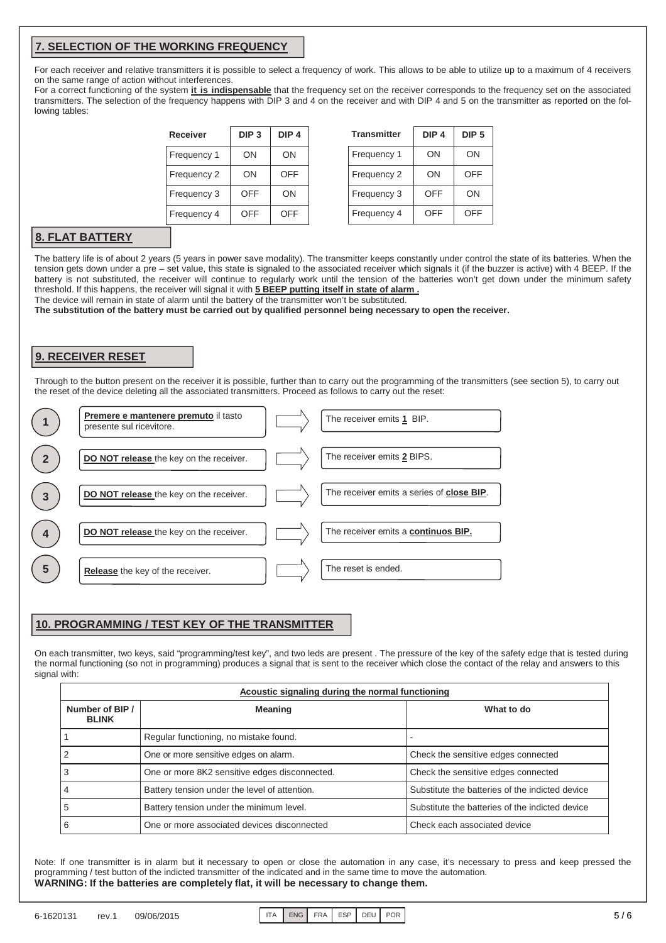#### **7. SELECTION OF THE WORKING FREQUENCY**

For each receiver and relative transmitters it is possible to select a frequency of work. This allows to be able to utilize up to a maximum of 4 receivers on the same range of action without interferences.

For a correct functioning of the system **it is indispensable** that the frequency set on the receiver corresponds to the frequency set on the associated transmitters. The selection of the frequency happens with DIP 3 and 4 on the receiver and with DIP 4 and 5 on the transmitter as reported on the following tables:

| Receiver    | DIP <sub>3</sub> | DIP <sub>4</sub> |  |
|-------------|------------------|------------------|--|
| Frequency 1 | ΟN               | ON               |  |
| Frequency 2 | ΟN               | OFF              |  |
| Frequency 3 | OFF              | ON               |  |
| Frequency 4 | OFF              | <b>OFF</b>       |  |

| <b>Transmitter</b> | DIP <sub>4</sub> | DIP <sub>5</sub> |
|--------------------|------------------|------------------|
| Frequency 1        | ON               | ON               |
| Frequency 2        | ON               | OFF              |
| Frequency 3        | OFF              | ON               |
| Frequency 4        | OFF              | OFF              |

#### **8. FLAT BATTERY**

The battery life is of about 2 years (5 years in power save modality). The transmitter keeps constantly under control the state of its batteries. When the tension gets down under a pre – set value, this state is signaled to the associated receiver which signals it (if the buzzer is active) with 4 BEEP. If the battery is not substituted, the receiver will continue to regularly work until the tension of the batteries won't get down under the minimum safety threshold. If this happens, the receiver will signal it with **5 BEEP putting itself in state of alarm .** 

The device will remain in state of alarm until the battery of the transmitter won't be substituted.

**The substitution of the battery must be carried out by qualified personnel being necessary to open the receiver.** 

#### **9. RECEIVER RESET**

Through to the button present on the receiver it is possible, further than to carry out the programming of the transmitters (see section 5), to carry out the reset of the device deleting all the associated transmitters. Proceed as follows to carry out the reset:



#### **10. PROGRAMMING / TEST KEY OF THE TRANSMITTER**

On each transmitter, two keys, said "programming/test key", and two leds are present . The pressure of the key of the safety edge that is tested during the normal functioning (so not in programming) produces a signal that is sent to the receiver which close the contact of the relay and answers to this signal with:

| Acoustic signaling during the normal functioning |                                               |                                                 |  |
|--------------------------------------------------|-----------------------------------------------|-------------------------------------------------|--|
| Number of BIP /<br><b>BLINK</b>                  | <b>Meaning</b>                                | What to do                                      |  |
|                                                  | Regular functioning, no mistake found.        |                                                 |  |
|                                                  | One or more sensitive edges on alarm.         | Check the sensitive edges connected             |  |
|                                                  | One or more 8K2 sensitive edges disconnected. | Check the sensitive edges connected             |  |
|                                                  | Battery tension under the level of attention. | Substitute the batteries of the indicted device |  |
|                                                  | Battery tension under the minimum level.      | Substitute the batteries of the indicted device |  |
|                                                  | One or more associated devices disconnected   | Check each associated device                    |  |

Note: If one transmitter is in alarm but it necessary to open or close the automation in any case, it's necessary to press and keep pressed the programming / test button of the indicted transmitter of the indicated and in the same time to move the automation. **WARNING: If the batteries are completely flat, it will be necessary to change them.**